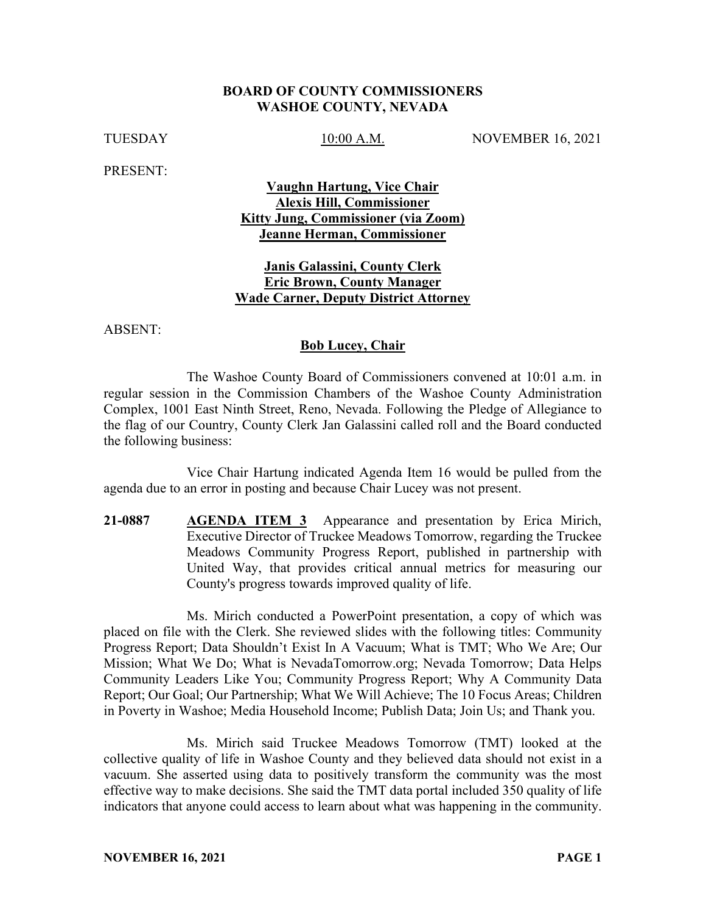#### **BOARD OF COUNTY COMMISSIONERS WASHOE COUNTY, NEVADA**

TUESDAY 10:00 A.M. NOVEMBER 16, 2021

PRESENT:

### **Vaughn Hartung, Vice Chair Alexis Hill, Commissioner Kitty Jung, Commissioner (via Zoom) Jeanne Herman, Commissioner**

#### **Janis Galassini, County Clerk Eric Brown, County Manager Wade Carner, Deputy District Attorney**

ABSENT:

#### **Bob Lucey, Chair**

The Washoe County Board of Commissioners convened at 10:01 a.m. in regular session in the Commission Chambers of the Washoe County Administration Complex, 1001 East Ninth Street, Reno, Nevada. Following the Pledge of Allegiance to the flag of our Country, County Clerk Jan Galassini called roll and the Board conducted the following business:

Vice Chair Hartung indicated Agenda Item 16 would be pulled from the agenda due to an error in posting and because Chair Lucey was not present.

**21-0887 AGENDA ITEM 3** Appearance and presentation by Erica Mirich, Executive Director of Truckee Meadows Tomorrow, regarding the Truckee Meadows Community Progress Report, published in partnership with United Way, that provides critical annual metrics for measuring our County's progress towards improved quality of life.

Ms. Mirich conducted a PowerPoint presentation, a copy of which was placed on file with the Clerk. She reviewed slides with the following titles: Community Progress Report; Data Shouldn't Exist In A Vacuum; What is TMT; Who We Are; Our Mission; What We Do; What is NevadaTomorrow.org; Nevada Tomorrow; Data Helps Community Leaders Like You; Community Progress Report; Why A Community Data Report; Our Goal; Our Partnership; What We Will Achieve; The 10 Focus Areas; Children in Poverty in Washoe; Media Household Income; Publish Data; Join Us; and Thank you.

Ms. Mirich said Truckee Meadows Tomorrow (TMT) looked at the collective quality of life in Washoe County and they believed data should not exist in a vacuum. She asserted using data to positively transform the community was the most effective way to make decisions. She said the TMT data portal included 350 quality of life indicators that anyone could access to learn about what was happening in the community.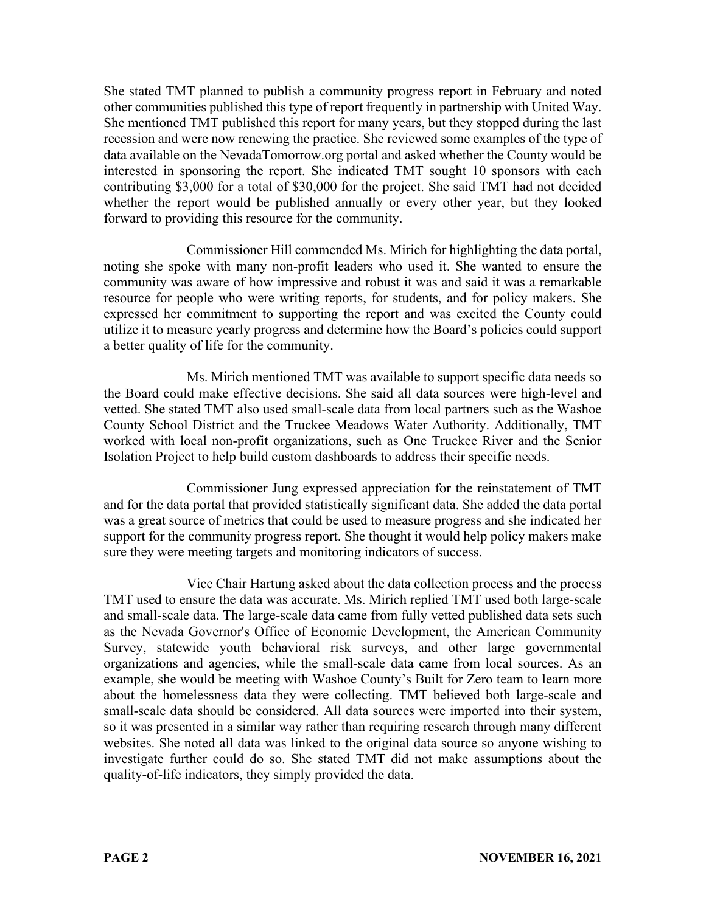She stated TMT planned to publish a community progress report in February and noted other communities published this type of report frequently in partnership with United Way. She mentioned TMT published this report for many years, but they stopped during the last recession and were now renewing the practice. She reviewed some examples of the type of data available on the NevadaTomorrow.org portal and asked whether the County would be interested in sponsoring the report. She indicated TMT sought 10 sponsors with each contributing \$3,000 for a total of \$30,000 for the project. She said TMT had not decided whether the report would be published annually or every other year, but they looked forward to providing this resource for the community.

Commissioner Hill commended Ms. Mirich for highlighting the data portal, noting she spoke with many non-profit leaders who used it. She wanted to ensure the community was aware of how impressive and robust it was and said it was a remarkable resource for people who were writing reports, for students, and for policy makers. She expressed her commitment to supporting the report and was excited the County could utilize it to measure yearly progress and determine how the Board's policies could support a better quality of life for the community.

Ms. Mirich mentioned TMT was available to support specific data needs so the Board could make effective decisions. She said all data sources were high-level and vetted. She stated TMT also used small-scale data from local partners such as the Washoe County School District and the Truckee Meadows Water Authority. Additionally, TMT worked with local non-profit organizations, such as One Truckee River and the Senior Isolation Project to help build custom dashboards to address their specific needs.

Commissioner Jung expressed appreciation for the reinstatement of TMT and for the data portal that provided statistically significant data. She added the data portal was a great source of metrics that could be used to measure progress and she indicated her support for the community progress report. She thought it would help policy makers make sure they were meeting targets and monitoring indicators of success.

Vice Chair Hartung asked about the data collection process and the process TMT used to ensure the data was accurate. Ms. Mirich replied TMT used both large-scale and small-scale data. The large-scale data came from fully vetted published data sets such as the Nevada Governor's Office of Economic Development, the American Community Survey, statewide youth behavioral risk surveys, and other large governmental organizations and agencies, while the small-scale data came from local sources. As an example, she would be meeting with Washoe County's Built for Zero team to learn more about the homelessness data they were collecting. TMT believed both large-scale and small-scale data should be considered. All data sources were imported into their system, so it was presented in a similar way rather than requiring research through many different websites. She noted all data was linked to the original data source so anyone wishing to investigate further could do so. She stated TMT did not make assumptions about the quality-of-life indicators, they simply provided the data.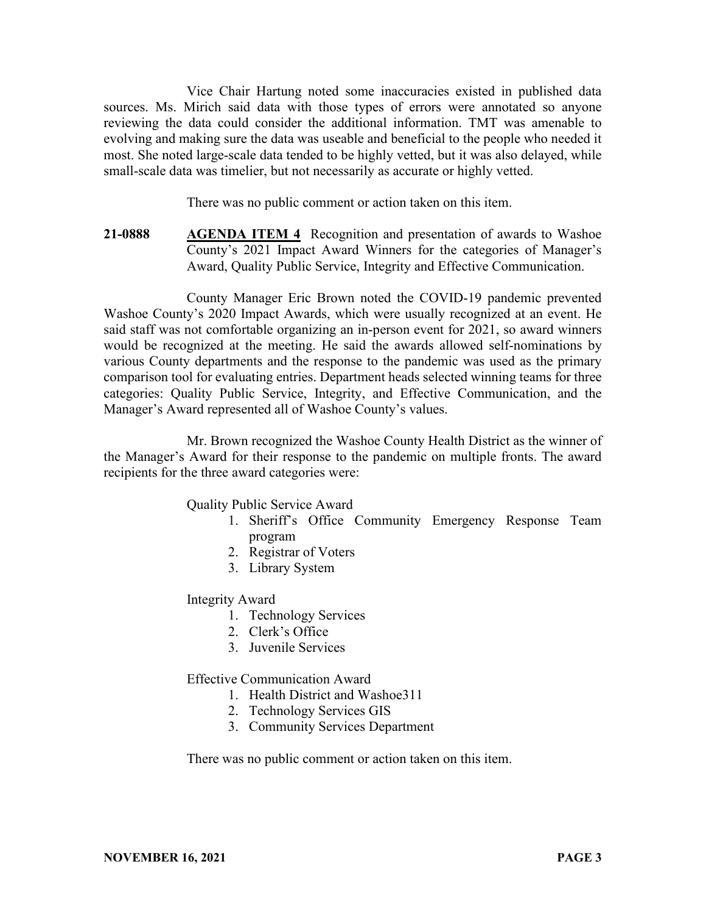Vice Chair Hartung noted some inaccuracies existed in published data sources. Ms. Mirich said data with those types of errors were annotated so anyone reviewing the data could consider the additional information. TMT was amenable to evolving and making sure the data was useable and beneficial to the people who needed it most. She noted large-scale data tended to be highly vetted, but it was also delayed, while small-scale data was timelier, but not necessarily as accurate or highly vetted.

There was no public comment or action taken on this item.

**21-0888 AGENDA ITEM 4** Recognition and presentation of awards to Washoe County's 2021 Impact Award Winners for the categories of Manager's Award, Quality Public Service, Integrity and Effective Communication.

County Manager Eric Brown noted the COVID-19 pandemic prevented Washoe County's 2020 Impact Awards, which were usually recognized at an event. He said staff was not comfortable organizing an in-person event for 2021, so award winners would be recognized at the meeting. He said the awards allowed self-nominations by various County departments and the response to the pandemic was used as the primary comparison tool for evaluating entries. Department heads selected winning teams for three categories: Quality Public Service, Integrity, and Effective Communication, and the Manager's Award represented all of Washoe County's values.

Mr. Brown recognized the Washoe County Health District as the winner of the Manager's Award for their response to the pandemic on multiple fronts. The award recipients for the three award categories were:

Quality Public Service Award

- 1. Sheriff's Office Community Emergency Response Team program
- 2. Registrar of Voters
- 3. Library System

Integrity Award

- 1. Technology Services
- 2. Clerk's Office
- 3. Juvenile Services

Effective Communication Award

- 1. Health District and Washoe311
- 2. Technology Services GIS
- 3. Community Services Department

There was no public comment or action taken on this item.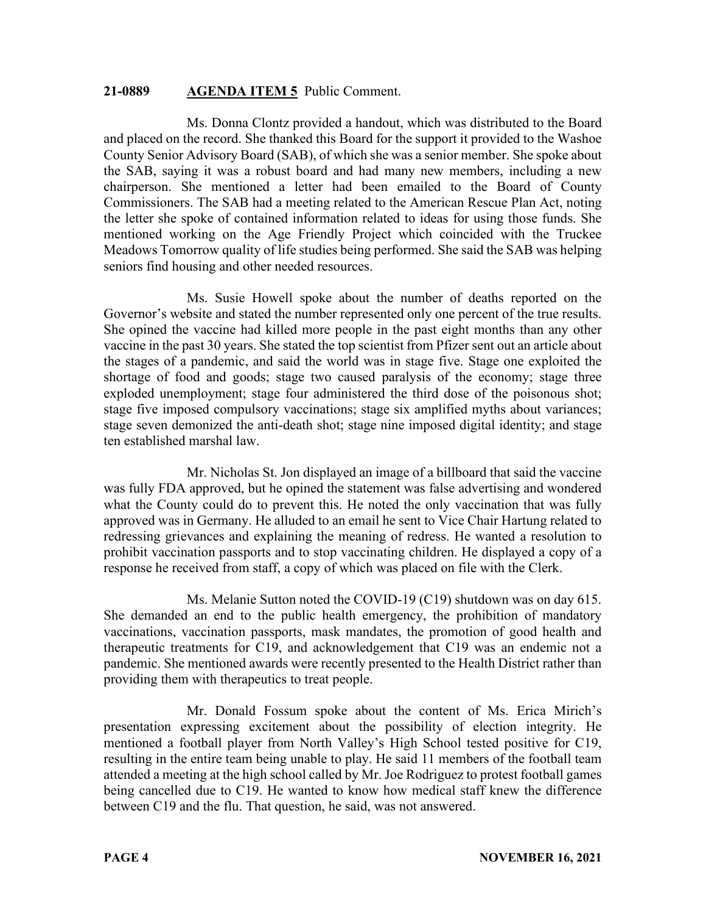#### **21-0889 AGENDA ITEM 5** Public Comment.

Ms. Donna Clontz provided a handout, which was distributed to the Board and placed on the record. She thanked this Board for the support it provided to the Washoe County Senior Advisory Board (SAB), of which she was a senior member. She spoke about the SAB, saying it was a robust board and had many new members, including a new chairperson. She mentioned a letter had been emailed to the Board of County Commissioners. The SAB had a meeting related to the American Rescue Plan Act, noting the letter she spoke of contained information related to ideas for using those funds. She mentioned working on the Age Friendly Project which coincided with the Truckee Meadows Tomorrow quality of life studies being performed. She said the SAB was helping seniors find housing and other needed resources.

Ms. Susie Howell spoke about the number of deaths reported on the Governor's website and stated the number represented only one percent of the true results. She opined the vaccine had killed more people in the past eight months than any other vaccine in the past 30 years. She stated the top scientist from Pfizer sent out an article about the stages of a pandemic, and said the world was in stage five. Stage one exploited the shortage of food and goods; stage two caused paralysis of the economy; stage three exploded unemployment; stage four administered the third dose of the poisonous shot; stage five imposed compulsory vaccinations; stage six amplified myths about variances; stage seven demonized the anti-death shot; stage nine imposed digital identity; and stage ten established marshal law.

Mr. Nicholas St. Jon displayed an image of a billboard that said the vaccine was fully FDA approved, but he opined the statement was false advertising and wondered what the County could do to prevent this. He noted the only vaccination that was fully approved was in Germany. He alluded to an email he sent to Vice Chair Hartung related to redressing grievances and explaining the meaning of redress. He wanted a resolution to prohibit vaccination passports and to stop vaccinating children. He displayed a copy of a response he received from staff, a copy of which was placed on file with the Clerk.

Ms. Melanie Sutton noted the COVID-19 (C19) shutdown was on day 615. She demanded an end to the public health emergency, the prohibition of mandatory vaccinations, vaccination passports, mask mandates, the promotion of good health and therapeutic treatments for C19, and acknowledgement that C19 was an endemic not a pandemic. She mentioned awards were recently presented to the Health District rather than providing them with therapeutics to treat people.

Mr. Donald Fossum spoke about the content of Ms. Erica Mirich's presentation expressing excitement about the possibility of election integrity. He mentioned a football player from North Valley's High School tested positive for C19, resulting in the entire team being unable to play. He said 11 members of the football team attended a meeting at the high school called by Mr. Joe Rodriguez to protest football games being cancelled due to C19. He wanted to know how medical staff knew the difference between C19 and the flu. That question, he said, was not answered.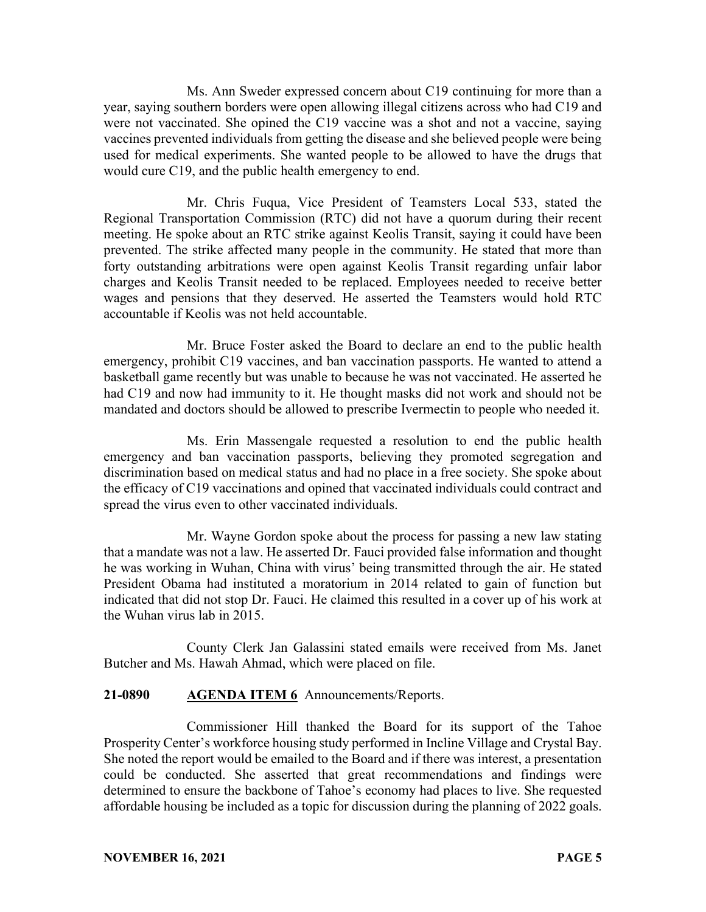Ms. Ann Sweder expressed concern about C19 continuing for more than a year, saying southern borders were open allowing illegal citizens across who had C19 and were not vaccinated. She opined the C19 vaccine was a shot and not a vaccine, saying vaccines prevented individuals from getting the disease and she believed people were being used for medical experiments. She wanted people to be allowed to have the drugs that would cure C19, and the public health emergency to end.

Mr. Chris Fuqua, Vice President of Teamsters Local 533, stated the Regional Transportation Commission (RTC) did not have a quorum during their recent meeting. He spoke about an RTC strike against Keolis Transit, saying it could have been prevented. The strike affected many people in the community. He stated that more than forty outstanding arbitrations were open against Keolis Transit regarding unfair labor charges and Keolis Transit needed to be replaced. Employees needed to receive better wages and pensions that they deserved. He asserted the Teamsters would hold RTC accountable if Keolis was not held accountable.

Mr. Bruce Foster asked the Board to declare an end to the public health emergency, prohibit C19 vaccines, and ban vaccination passports. He wanted to attend a basketball game recently but was unable to because he was not vaccinated. He asserted he had C19 and now had immunity to it. He thought masks did not work and should not be mandated and doctors should be allowed to prescribe Ivermectin to people who needed it.

Ms. Erin Massengale requested a resolution to end the public health emergency and ban vaccination passports, believing they promoted segregation and discrimination based on medical status and had no place in a free society. She spoke about the efficacy of C19 vaccinations and opined that vaccinated individuals could contract and spread the virus even to other vaccinated individuals.

Mr. Wayne Gordon spoke about the process for passing a new law stating that a mandate was not a law. He asserted Dr. Fauci provided false information and thought he was working in Wuhan, China with virus' being transmitted through the air. He stated President Obama had instituted a moratorium in 2014 related to gain of function but indicated that did not stop Dr. Fauci. He claimed this resulted in a cover up of his work at the Wuhan virus lab in 2015.

County Clerk Jan Galassini stated emails were received from Ms. Janet Butcher and Ms. Hawah Ahmad, which were placed on file.

#### **21-0890 AGENDA ITEM 6** Announcements/Reports.

Commissioner Hill thanked the Board for its support of the Tahoe Prosperity Center's workforce housing study performed in Incline Village and Crystal Bay. She noted the report would be emailed to the Board and if there was interest, a presentation could be conducted. She asserted that great recommendations and findings were determined to ensure the backbone of Tahoe's economy had places to live. She requested affordable housing be included as a topic for discussion during the planning of 2022 goals.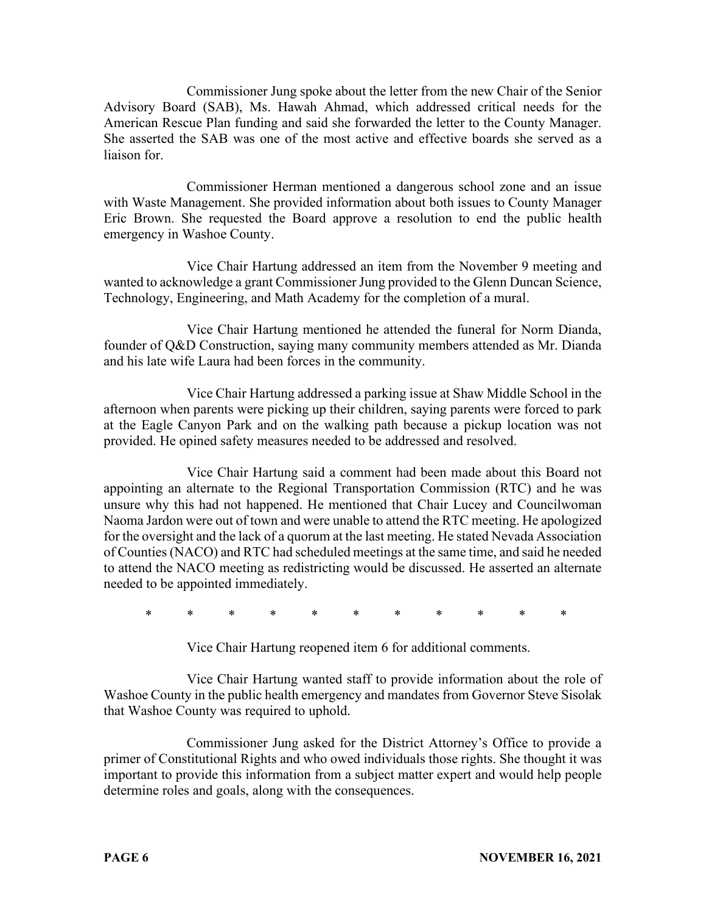Commissioner Jung spoke about the letter from the new Chair of the Senior Advisory Board (SAB), Ms. Hawah Ahmad, which addressed critical needs for the American Rescue Plan funding and said she forwarded the letter to the County Manager. She asserted the SAB was one of the most active and effective boards she served as a liaison for.

Commissioner Herman mentioned a dangerous school zone and an issue with Waste Management. She provided information about both issues to County Manager Eric Brown. She requested the Board approve a resolution to end the public health emergency in Washoe County.

Vice Chair Hartung addressed an item from the November 9 meeting and wanted to acknowledge a grant Commissioner Jung provided to the Glenn Duncan Science, Technology, Engineering, and Math Academy for the completion of a mural.

Vice Chair Hartung mentioned he attended the funeral for Norm Dianda, founder of Q&D Construction, saying many community members attended as Mr. Dianda and his late wife Laura had been forces in the community.

Vice Chair Hartung addressed a parking issue at Shaw Middle School in the afternoon when parents were picking up their children, saying parents were forced to park at the Eagle Canyon Park and on the walking path because a pickup location was not provided. He opined safety measures needed to be addressed and resolved.

Vice Chair Hartung said a comment had been made about this Board not appointing an alternate to the Regional Transportation Commission (RTC) and he was unsure why this had not happened. He mentioned that Chair Lucey and Councilwoman Naoma Jardon were out of town and were unable to attend the RTC meeting. He apologized for the oversight and the lack of a quorum at the last meeting. He stated Nevada Association of Counties (NACO) and RTC had scheduled meetings at the same time, and said he needed to attend the NACO meeting as redistricting would be discussed. He asserted an alternate needed to be appointed immediately.

\* \* \* \* \* \* \* \* \* \* \*

Vice Chair Hartung reopened item 6 for additional comments.

Vice Chair Hartung wanted staff to provide information about the role of Washoe County in the public health emergency and mandates from Governor Steve Sisolak that Washoe County was required to uphold.

Commissioner Jung asked for the District Attorney's Office to provide a primer of Constitutional Rights and who owed individuals those rights. She thought it was important to provide this information from a subject matter expert and would help people determine roles and goals, along with the consequences.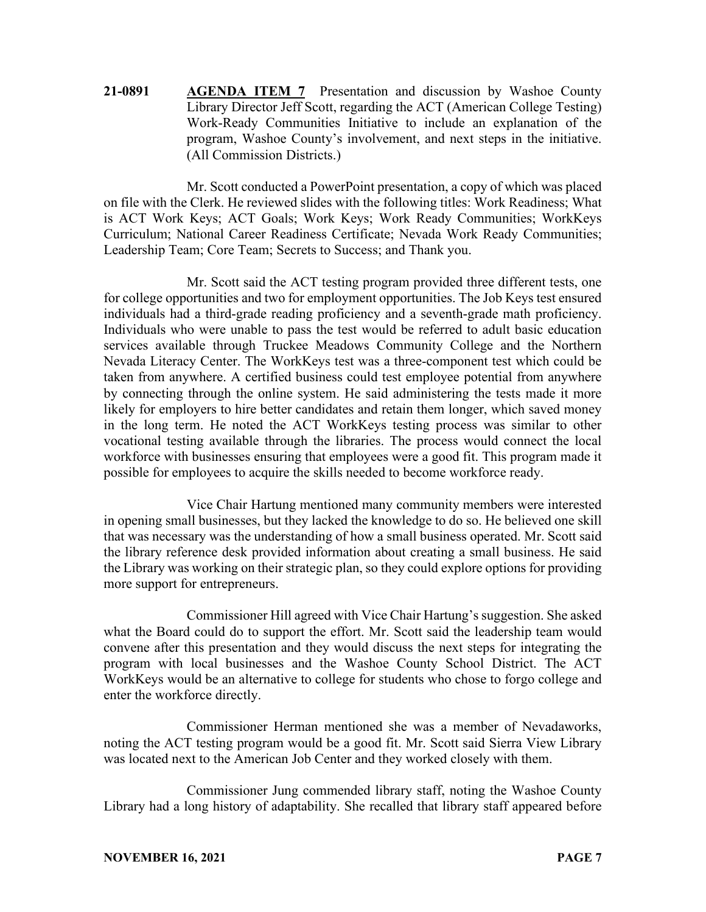**21-0891 AGENDA ITEM 7** Presentation and discussion by Washoe County Library Director Jeff Scott, regarding the ACT (American College Testing) Work-Ready Communities Initiative to include an explanation of the program, Washoe County's involvement, and next steps in the initiative. (All Commission Districts.)

Mr. Scott conducted a PowerPoint presentation, a copy of which was placed on file with the Clerk. He reviewed slides with the following titles: Work Readiness; What is ACT Work Keys; ACT Goals; Work Keys; Work Ready Communities; WorkKeys Curriculum; National Career Readiness Certificate; Nevada Work Ready Communities; Leadership Team; Core Team; Secrets to Success; and Thank you.

Mr. Scott said the ACT testing program provided three different tests, one for college opportunities and two for employment opportunities. The Job Keys test ensured individuals had a third-grade reading proficiency and a seventh-grade math proficiency. Individuals who were unable to pass the test would be referred to adult basic education services available through Truckee Meadows Community College and the Northern Nevada Literacy Center. The WorkKeys test was a three-component test which could be taken from anywhere. A certified business could test employee potential from anywhere by connecting through the online system. He said administering the tests made it more likely for employers to hire better candidates and retain them longer, which saved money in the long term. He noted the ACT WorkKeys testing process was similar to other vocational testing available through the libraries. The process would connect the local workforce with businesses ensuring that employees were a good fit. This program made it possible for employees to acquire the skills needed to become workforce ready.

Vice Chair Hartung mentioned many community members were interested in opening small businesses, but they lacked the knowledge to do so. He believed one skill that was necessary was the understanding of how a small business operated. Mr. Scott said the library reference desk provided information about creating a small business. He said the Library was working on their strategic plan, so they could explore options for providing more support for entrepreneurs.

Commissioner Hill agreed with Vice Chair Hartung's suggestion. She asked what the Board could do to support the effort. Mr. Scott said the leadership team would convene after this presentation and they would discuss the next steps for integrating the program with local businesses and the Washoe County School District. The ACT WorkKeys would be an alternative to college for students who chose to forgo college and enter the workforce directly.

Commissioner Herman mentioned she was a member of Nevadaworks, noting the ACT testing program would be a good fit. Mr. Scott said Sierra View Library was located next to the American Job Center and they worked closely with them.

Commissioner Jung commended library staff, noting the Washoe County Library had a long history of adaptability. She recalled that library staff appeared before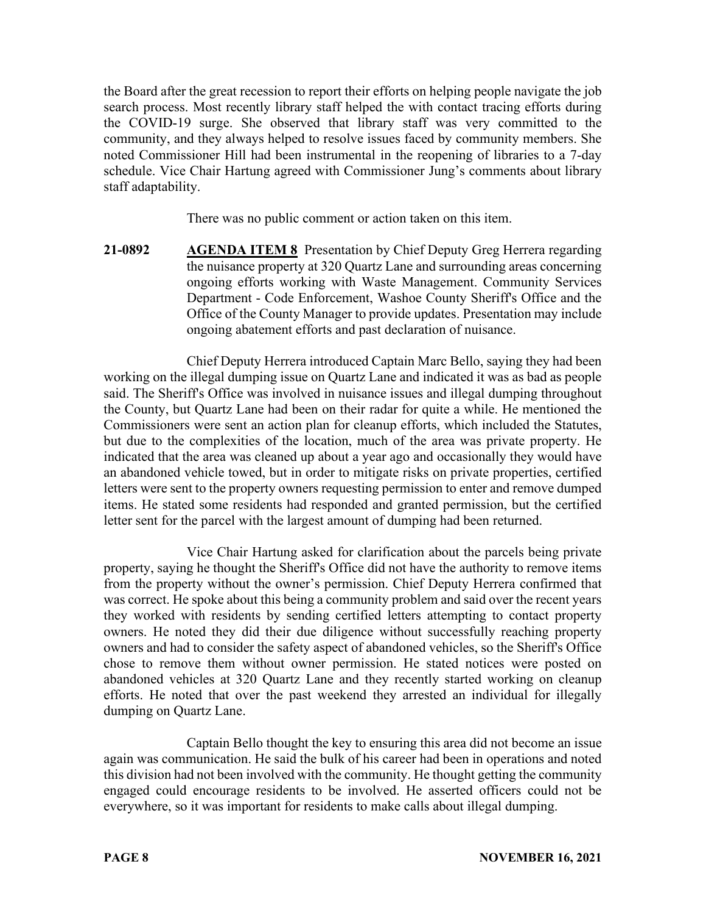the Board after the great recession to report their efforts on helping people navigate the job search process. Most recently library staff helped the with contact tracing efforts during the COVID-19 surge. She observed that library staff was very committed to the community, and they always helped to resolve issues faced by community members. She noted Commissioner Hill had been instrumental in the reopening of libraries to a 7-day schedule. Vice Chair Hartung agreed with Commissioner Jung's comments about library staff adaptability.

There was no public comment or action taken on this item.

**21-0892 AGENDA ITEM 8** Presentation by Chief Deputy Greg Herrera regarding the nuisance property at 320 Quartz Lane and surrounding areas concerning ongoing efforts working with Waste Management. Community Services Department - Code Enforcement, Washoe County Sheriff's Office and the Office of the County Manager to provide updates. Presentation may include ongoing abatement efforts and past declaration of nuisance.

Chief Deputy Herrera introduced Captain Marc Bello, saying they had been working on the illegal dumping issue on Quartz Lane and indicated it was as bad as people said. The Sheriff's Office was involved in nuisance issues and illegal dumping throughout the County, but Quartz Lane had been on their radar for quite a while. He mentioned the Commissioners were sent an action plan for cleanup efforts, which included the Statutes, but due to the complexities of the location, much of the area was private property. He indicated that the area was cleaned up about a year ago and occasionally they would have an abandoned vehicle towed, but in order to mitigate risks on private properties, certified letters were sent to the property owners requesting permission to enter and remove dumped items. He stated some residents had responded and granted permission, but the certified letter sent for the parcel with the largest amount of dumping had been returned.

Vice Chair Hartung asked for clarification about the parcels being private property, saying he thought the Sheriff's Office did not have the authority to remove items from the property without the owner's permission. Chief Deputy Herrera confirmed that was correct. He spoke about this being a community problem and said over the recent years they worked with residents by sending certified letters attempting to contact property owners. He noted they did their due diligence without successfully reaching property owners and had to consider the safety aspect of abandoned vehicles, so the Sheriff's Office chose to remove them without owner permission. He stated notices were posted on abandoned vehicles at 320 Quartz Lane and they recently started working on cleanup efforts. He noted that over the past weekend they arrested an individual for illegally dumping on Quartz Lane.

Captain Bello thought the key to ensuring this area did not become an issue again was communication. He said the bulk of his career had been in operations and noted this division had not been involved with the community. He thought getting the community engaged could encourage residents to be involved. He asserted officers could not be everywhere, so it was important for residents to make calls about illegal dumping.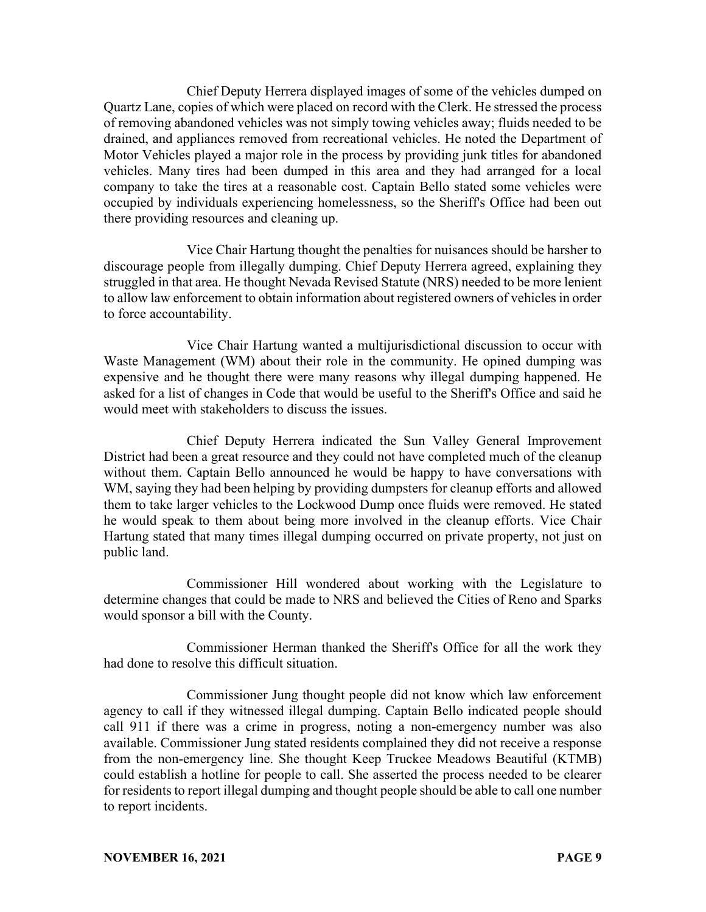Chief Deputy Herrera displayed images of some of the vehicles dumped on Quartz Lane, copies of which were placed on record with the Clerk. He stressed the process of removing abandoned vehicles was not simply towing vehicles away; fluids needed to be drained, and appliances removed from recreational vehicles. He noted the Department of Motor Vehicles played a major role in the process by providing junk titles for abandoned vehicles. Many tires had been dumped in this area and they had arranged for a local company to take the tires at a reasonable cost. Captain Bello stated some vehicles were occupied by individuals experiencing homelessness, so the Sheriff's Office had been out there providing resources and cleaning up.

Vice Chair Hartung thought the penalties for nuisances should be harsher to discourage people from illegally dumping. Chief Deputy Herrera agreed, explaining they struggled in that area. He thought Nevada Revised Statute (NRS) needed to be more lenient to allow law enforcement to obtain information about registered owners of vehicles in order to force accountability.

Vice Chair Hartung wanted a multijurisdictional discussion to occur with Waste Management (WM) about their role in the community. He opined dumping was expensive and he thought there were many reasons why illegal dumping happened. He asked for a list of changes in Code that would be useful to the Sheriff's Office and said he would meet with stakeholders to discuss the issues.

Chief Deputy Herrera indicated the Sun Valley General Improvement District had been a great resource and they could not have completed much of the cleanup without them. Captain Bello announced he would be happy to have conversations with WM, saying they had been helping by providing dumpsters for cleanup efforts and allowed them to take larger vehicles to the Lockwood Dump once fluids were removed. He stated he would speak to them about being more involved in the cleanup efforts. Vice Chair Hartung stated that many times illegal dumping occurred on private property, not just on public land.

Commissioner Hill wondered about working with the Legislature to determine changes that could be made to NRS and believed the Cities of Reno and Sparks would sponsor a bill with the County.

Commissioner Herman thanked the Sheriff's Office for all the work they had done to resolve this difficult situation.

Commissioner Jung thought people did not know which law enforcement agency to call if they witnessed illegal dumping. Captain Bello indicated people should call 911 if there was a crime in progress, noting a non-emergency number was also available. Commissioner Jung stated residents complained they did not receive a response from the non-emergency line. She thought Keep Truckee Meadows Beautiful (KTMB) could establish a hotline for people to call. She asserted the process needed to be clearer for residents to report illegal dumping and thought people should be able to call one number to report incidents.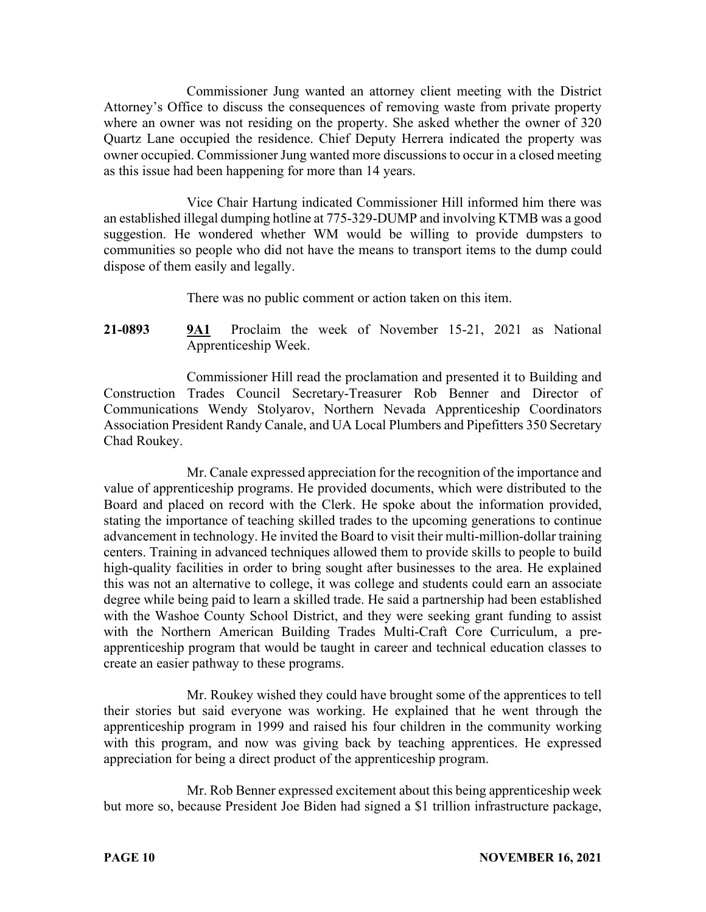Commissioner Jung wanted an attorney client meeting with the District Attorney's Office to discuss the consequences of removing waste from private property where an owner was not residing on the property. She asked whether the owner of 320 Quartz Lane occupied the residence. Chief Deputy Herrera indicated the property was owner occupied. Commissioner Jung wanted more discussions to occur in a closed meeting as this issue had been happening for more than 14 years.

Vice Chair Hartung indicated Commissioner Hill informed him there was an established illegal dumping hotline at 775-329-DUMP and involving KTMB was a good suggestion. He wondered whether WM would be willing to provide dumpsters to communities so people who did not have the means to transport items to the dump could dispose of them easily and legally.

There was no public comment or action taken on this item.

**21-0893 9A1** Proclaim the week of November 15-21, 2021 as National Apprenticeship Week.

Commissioner Hill read the proclamation and presented it to Building and Construction Trades Council Secretary-Treasurer Rob Benner and Director of Communications Wendy Stolyarov, Northern Nevada Apprenticeship Coordinators Association President Randy Canale, and UA Local Plumbers and Pipefitters 350 Secretary Chad Roukey.

Mr. Canale expressed appreciation for the recognition of the importance and value of apprenticeship programs. He provided documents, which were distributed to the Board and placed on record with the Clerk. He spoke about the information provided, stating the importance of teaching skilled trades to the upcoming generations to continue advancement in technology. He invited the Board to visit their multi-million-dollar training centers. Training in advanced techniques allowed them to provide skills to people to build high-quality facilities in order to bring sought after businesses to the area. He explained this was not an alternative to college, it was college and students could earn an associate degree while being paid to learn a skilled trade. He said a partnership had been established with the Washoe County School District, and they were seeking grant funding to assist with the Northern American Building Trades Multi-Craft Core Curriculum, a preapprenticeship program that would be taught in career and technical education classes to create an easier pathway to these programs.

Mr. Roukey wished they could have brought some of the apprentices to tell their stories but said everyone was working. He explained that he went through the apprenticeship program in 1999 and raised his four children in the community working with this program, and now was giving back by teaching apprentices. He expressed appreciation for being a direct product of the apprenticeship program.

Mr. Rob Benner expressed excitement about this being apprenticeship week but more so, because President Joe Biden had signed a \$1 trillion infrastructure package,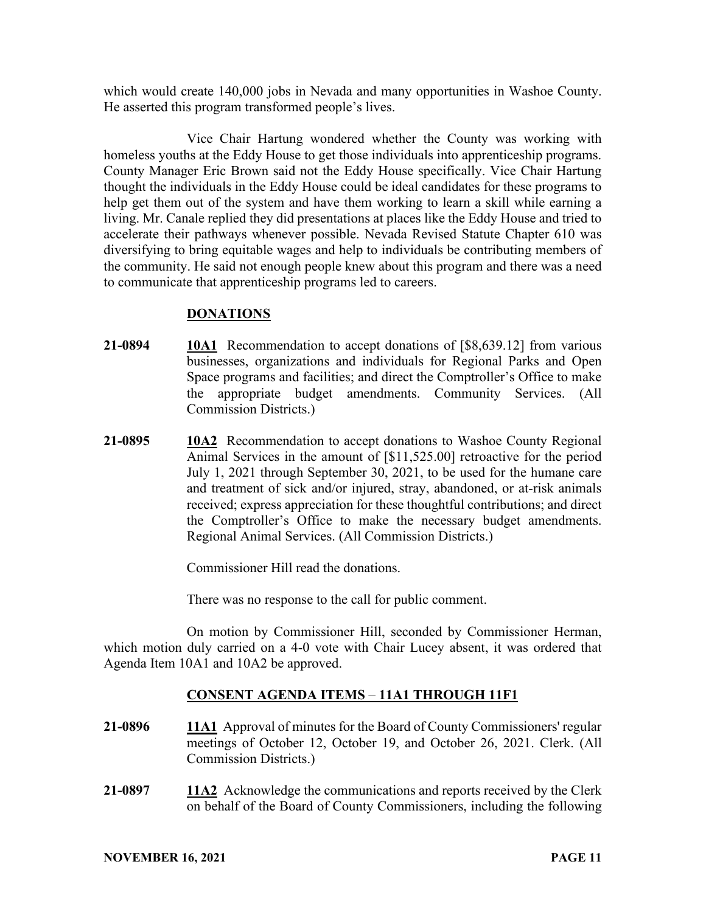which would create 140,000 jobs in Nevada and many opportunities in Washoe County. He asserted this program transformed people's lives.

Vice Chair Hartung wondered whether the County was working with homeless youths at the Eddy House to get those individuals into apprenticeship programs. County Manager Eric Brown said not the Eddy House specifically. Vice Chair Hartung thought the individuals in the Eddy House could be ideal candidates for these programs to help get them out of the system and have them working to learn a skill while earning a living. Mr. Canale replied they did presentations at places like the Eddy House and tried to accelerate their pathways whenever possible. Nevada Revised Statute Chapter 610 was diversifying to bring equitable wages and help to individuals be contributing members of the community. He said not enough people knew about this program and there was a need to communicate that apprenticeship programs led to careers.

## **DONATIONS**

- **21-0894 10A1** Recommendation to accept donations of [\$8,639.12] from various businesses, organizations and individuals for Regional Parks and Open Space programs and facilities; and direct the Comptroller's Office to make the appropriate budget amendments. Community Services. (All Commission Districts.)
- **21-0895 10A2** Recommendation to accept donations to Washoe County Regional Animal Services in the amount of [\$11,525.00] retroactive for the period July 1, 2021 through September 30, 2021, to be used for the humane care and treatment of sick and/or injured, stray, abandoned, or at-risk animals received; express appreciation for these thoughtful contributions; and direct the Comptroller's Office to make the necessary budget amendments. Regional Animal Services. (All Commission Districts.)

Commissioner Hill read the donations.

There was no response to the call for public comment.

On motion by Commissioner Hill, seconded by Commissioner Herman, which motion duly carried on a 4-0 vote with Chair Lucey absent, it was ordered that Agenda Item 10A1 and 10A2 be approved.

# **CONSENT AGENDA ITEMS** – **11A1 THROUGH 11F1**

- **21-0896 11A1** Approval of minutes for the Board of County Commissioners' regular meetings of October 12, October 19, and October 26, 2021. Clerk. (All Commission Districts.)
- **21-0897 11A2** Acknowledge the communications and reports received by the Clerk on behalf of the Board of County Commissioners, including the following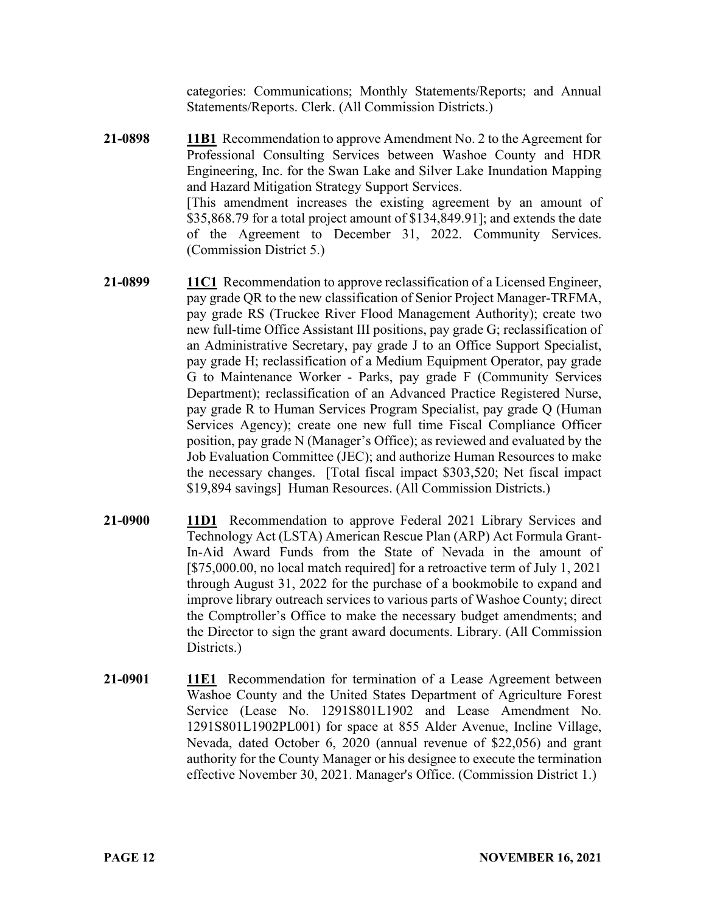categories: Communications; Monthly Statements/Reports; and Annual Statements/Reports. Clerk. (All Commission Districts.)

- **21-0898 11B1** Recommendation to approve Amendment No. 2 to the Agreement for Professional Consulting Services between Washoe County and HDR Engineering, Inc. for the Swan Lake and Silver Lake Inundation Mapping and Hazard Mitigation Strategy Support Services. [This amendment increases the existing agreement by an amount of \$35,868.79 for a total project amount of \$134,849.91]; and extends the date of the Agreement to December 31, 2022. Community Services. (Commission District 5.)
- **21-0899 11C1** Recommendation to approve reclassification of a Licensed Engineer, pay grade QR to the new classification of Senior Project Manager-TRFMA, pay grade RS (Truckee River Flood Management Authority); create two new full-time Office Assistant III positions, pay grade G; reclassification of an Administrative Secretary, pay grade J to an Office Support Specialist, pay grade H; reclassification of a Medium Equipment Operator, pay grade G to Maintenance Worker - Parks, pay grade F (Community Services Department); reclassification of an Advanced Practice Registered Nurse, pay grade R to Human Services Program Specialist, pay grade Q (Human Services Agency); create one new full time Fiscal Compliance Officer position, pay grade N (Manager's Office); as reviewed and evaluated by the Job Evaluation Committee (JEC); and authorize Human Resources to make the necessary changes. [Total fiscal impact \$303,520; Net fiscal impact \$19,894 savings] Human Resources. (All Commission Districts.)
- **21-0900 11D1** Recommendation to approve Federal 2021 Library Services and Technology Act (LSTA) American Rescue Plan (ARP) Act Formula Grant-In-Aid Award Funds from the State of Nevada in the amount of [\$75,000.00, no local match required] for a retroactive term of July 1, 2021 through August 31, 2022 for the purchase of a bookmobile to expand and improve library outreach services to various parts of Washoe County; direct the Comptroller's Office to make the necessary budget amendments; and the Director to sign the grant award documents. Library. (All Commission Districts.)
- **21-0901 11E1** Recommendation for termination of a Lease Agreement between Washoe County and the United States Department of Agriculture Forest Service (Lease No. 1291S801L1902 and Lease Amendment No. 1291S801L1902PL001) for space at 855 Alder Avenue, Incline Village, Nevada, dated October 6, 2020 (annual revenue of \$22,056) and grant authority for the County Manager or his designee to execute the termination effective November 30, 2021. Manager's Office. (Commission District 1.)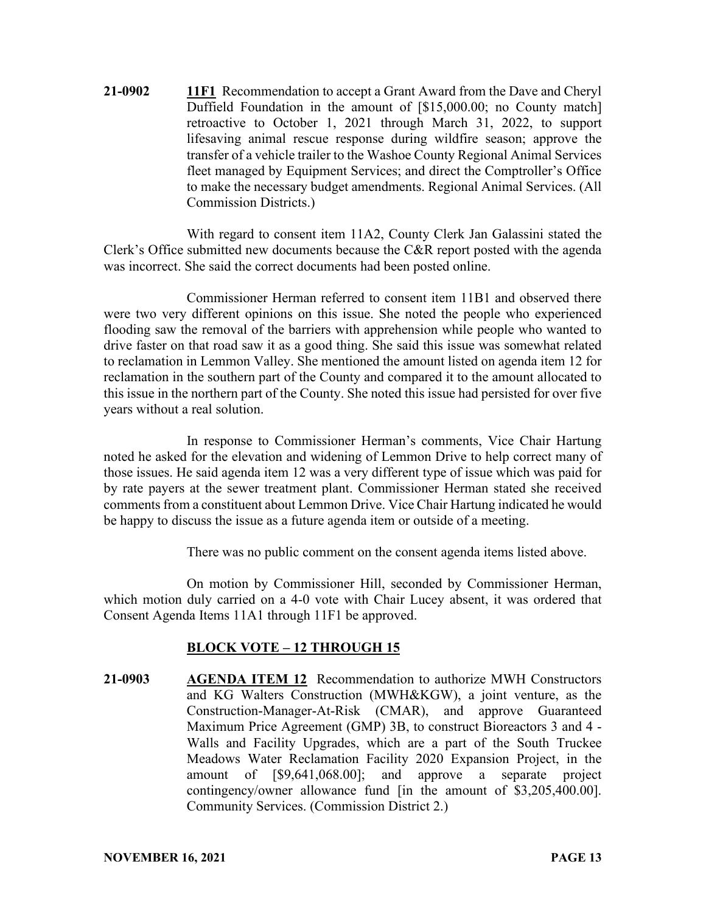**21-0902 11F1** Recommendation to accept a Grant Award from the Dave and Cheryl Duffield Foundation in the amount of [\$15,000.00; no County match] retroactive to October 1, 2021 through March 31, 2022, to support lifesaving animal rescue response during wildfire season; approve the transfer of a vehicle trailer to the Washoe County Regional Animal Services fleet managed by Equipment Services; and direct the Comptroller's Office to make the necessary budget amendments. Regional Animal Services. (All Commission Districts.)

With regard to consent item 11A2, County Clerk Jan Galassini stated the Clerk's Office submitted new documents because the C&R report posted with the agenda was incorrect. She said the correct documents had been posted online.

Commissioner Herman referred to consent item 11B1 and observed there were two very different opinions on this issue. She noted the people who experienced flooding saw the removal of the barriers with apprehension while people who wanted to drive faster on that road saw it as a good thing. She said this issue was somewhat related to reclamation in Lemmon Valley. She mentioned the amount listed on agenda item 12 for reclamation in the southern part of the County and compared it to the amount allocated to this issue in the northern part of the County. She noted this issue had persisted for over five years without a real solution.

In response to Commissioner Herman's comments, Vice Chair Hartung noted he asked for the elevation and widening of Lemmon Drive to help correct many of those issues. He said agenda item 12 was a very different type of issue which was paid for by rate payers at the sewer treatment plant. Commissioner Herman stated she received comments from a constituent about Lemmon Drive. Vice Chair Hartung indicated he would be happy to discuss the issue as a future agenda item or outside of a meeting.

There was no public comment on the consent agenda items listed above.

On motion by Commissioner Hill, seconded by Commissioner Herman, which motion duly carried on a 4-0 vote with Chair Lucey absent, it was ordered that Consent Agenda Items 11A1 through 11F1 be approved.

#### **BLOCK VOTE – 12 THROUGH 15**

**21-0903 AGENDA ITEM 12** Recommendation to authorize MWH Constructors and KG Walters Construction (MWH&KGW), a joint venture, as the Construction-Manager-At-Risk (CMAR), and approve Guaranteed Maximum Price Agreement (GMP) 3B, to construct Bioreactors 3 and 4 - Walls and Facility Upgrades, which are a part of the South Truckee Meadows Water Reclamation Facility 2020 Expansion Project, in the amount of [\$9,641,068.00]; and approve a separate project contingency/owner allowance fund [in the amount of \$3,205,400.00]. Community Services. (Commission District 2.)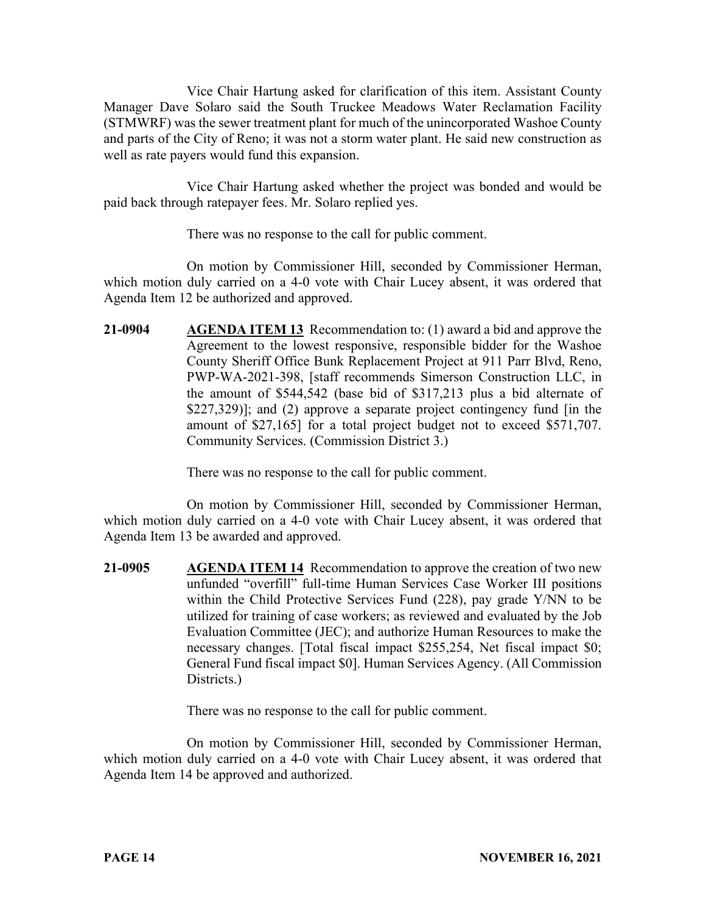Vice Chair Hartung asked for clarification of this item. Assistant County Manager Dave Solaro said the South Truckee Meadows Water Reclamation Facility (STMWRF) was the sewer treatment plant for much of the unincorporated Washoe County and parts of the City of Reno; it was not a storm water plant. He said new construction as well as rate payers would fund this expansion.

Vice Chair Hartung asked whether the project was bonded and would be paid back through ratepayer fees. Mr. Solaro replied yes.

There was no response to the call for public comment.

On motion by Commissioner Hill, seconded by Commissioner Herman, which motion duly carried on a 4-0 vote with Chair Lucey absent, it was ordered that Agenda Item 12 be authorized and approved.

**21-0904 AGENDA ITEM 13** Recommendation to: (1) award a bid and approve the Agreement to the lowest responsive, responsible bidder for the Washoe County Sheriff Office Bunk Replacement Project at 911 Parr Blvd, Reno, PWP-WA-2021-398, [staff recommends Simerson Construction LLC, in the amount of \$544,542 (base bid of \$317,213 plus a bid alternate of \$227,329)]; and (2) approve a separate project contingency fund [in the amount of \$27,165] for a total project budget not to exceed \$571,707. Community Services. (Commission District 3.)

There was no response to the call for public comment.

On motion by Commissioner Hill, seconded by Commissioner Herman, which motion duly carried on a 4-0 vote with Chair Lucey absent, it was ordered that Agenda Item 13 be awarded and approved.

**21-0905 AGENDA ITEM 14** Recommendation to approve the creation of two new unfunded "overfill" full-time Human Services Case Worker III positions within the Child Protective Services Fund (228), pay grade Y/NN to be utilized for training of case workers; as reviewed and evaluated by the Job Evaluation Committee (JEC); and authorize Human Resources to make the necessary changes. [Total fiscal impact \$255,254, Net fiscal impact \$0; General Fund fiscal impact \$0]. Human Services Agency. (All Commission Districts.)

There was no response to the call for public comment.

On motion by Commissioner Hill, seconded by Commissioner Herman, which motion duly carried on a 4-0 vote with Chair Lucey absent, it was ordered that Agenda Item 14 be approved and authorized.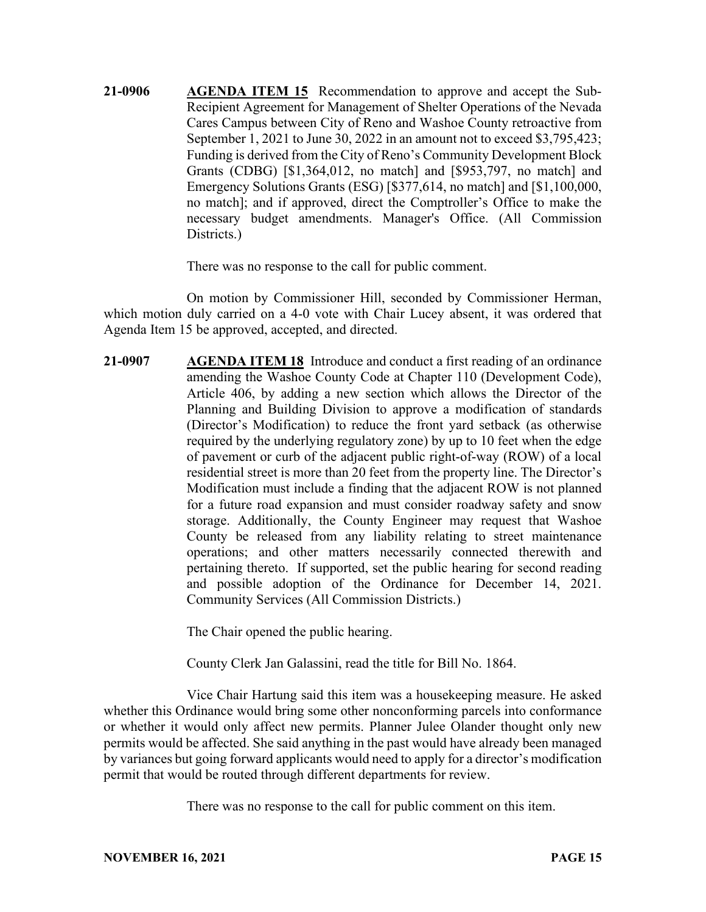**21-0906 AGENDA ITEM 15** Recommendation to approve and accept the Sub-Recipient Agreement for Management of Shelter Operations of the Nevada Cares Campus between City of Reno and Washoe County retroactive from September 1, 2021 to June 30, 2022 in an amount not to exceed \$3,795,423; Funding is derived from the City of Reno's Community Development Block Grants (CDBG) [\$1,364,012, no match] and [\$953,797, no match] and Emergency Solutions Grants (ESG) [\$377,614, no match] and [\$1,100,000, no match]; and if approved, direct the Comptroller's Office to make the necessary budget amendments. Manager's Office. (All Commission Districts.)

There was no response to the call for public comment.

On motion by Commissioner Hill, seconded by Commissioner Herman, which motion duly carried on a 4-0 vote with Chair Lucey absent, it was ordered that Agenda Item 15 be approved, accepted, and directed.

**21-0907 AGENDA ITEM 18** Introduce and conduct a first reading of an ordinance amending the Washoe County Code at Chapter 110 (Development Code), Article 406, by adding a new section which allows the Director of the Planning and Building Division to approve a modification of standards (Director's Modification) to reduce the front yard setback (as otherwise required by the underlying regulatory zone) by up to 10 feet when the edge of pavement or curb of the adjacent public right-of-way (ROW) of a local residential street is more than 20 feet from the property line. The Director's Modification must include a finding that the adjacent ROW is not planned for a future road expansion and must consider roadway safety and snow storage. Additionally, the County Engineer may request that Washoe County be released from any liability relating to street maintenance operations; and other matters necessarily connected therewith and pertaining thereto. If supported, set the public hearing for second reading and possible adoption of the Ordinance for December 14, 2021. Community Services (All Commission Districts.)

The Chair opened the public hearing.

County Clerk Jan Galassini, read the title for Bill No. 1864.

Vice Chair Hartung said this item was a housekeeping measure. He asked whether this Ordinance would bring some other nonconforming parcels into conformance or whether it would only affect new permits. Planner Julee Olander thought only new permits would be affected. She said anything in the past would have already been managed by variances but going forward applicants would need to apply for a director's modification permit that would be routed through different departments for review.

There was no response to the call for public comment on this item.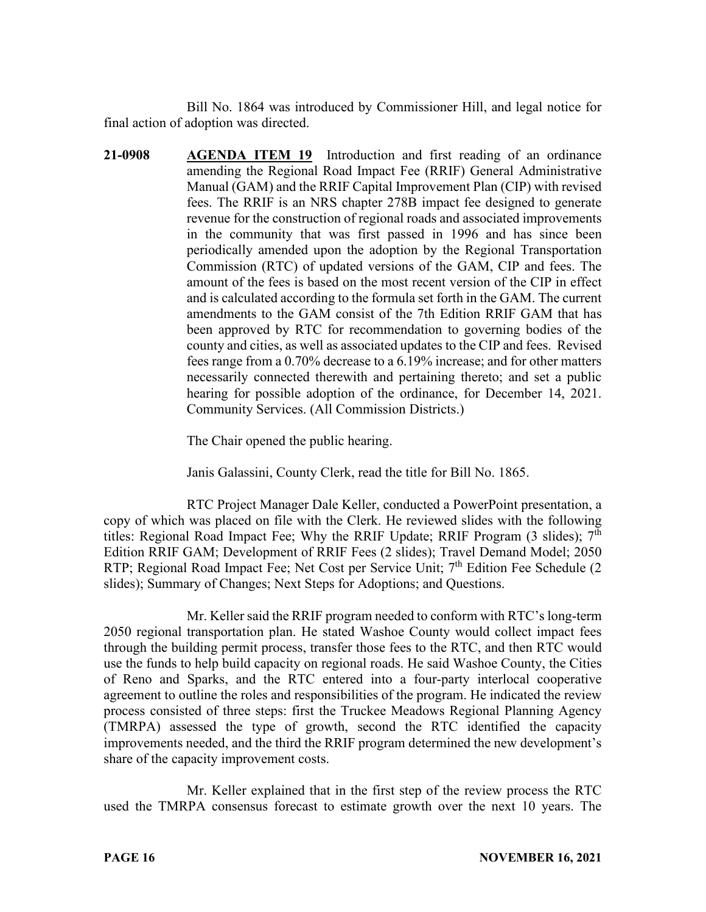Bill No. 1864 was introduced by Commissioner Hill, and legal notice for final action of adoption was directed.

**21-0908 AGENDA ITEM 19** Introduction and first reading of an ordinance amending the Regional Road Impact Fee (RRIF) General Administrative Manual (GAM) and the RRIF Capital Improvement Plan (CIP) with revised fees. The RRIF is an NRS chapter 278B impact fee designed to generate revenue for the construction of regional roads and associated improvements in the community that was first passed in 1996 and has since been periodically amended upon the adoption by the Regional Transportation Commission (RTC) of updated versions of the GAM, CIP and fees. The amount of the fees is based on the most recent version of the CIP in effect and is calculated according to the formula set forth in the GAM. The current amendments to the GAM consist of the 7th Edition RRIF GAM that has been approved by RTC for recommendation to governing bodies of the county and cities, as well as associated updates to the CIP and fees. Revised fees range from a 0.70% decrease to a 6.19% increase; and for other matters necessarily connected therewith and pertaining thereto; and set a public hearing for possible adoption of the ordinance, for December 14, 2021. Community Services. (All Commission Districts.)

The Chair opened the public hearing.

Janis Galassini, County Clerk, read the title for Bill No. 1865.

RTC Project Manager Dale Keller, conducted a PowerPoint presentation, a copy of which was placed on file with the Clerk. He reviewed slides with the following titles: Regional Road Impact Fee; Why the RRIF Update; RRIF Program  $(3 \text{ slides})$ ;  $7^{\text{th}}$ Edition RRIF GAM; Development of RRIF Fees (2 slides); Travel Demand Model; 2050 RTP; Regional Road Impact Fee; Net Cost per Service Unit; 7<sup>th</sup> Edition Fee Schedule (2) slides); Summary of Changes; Next Steps for Adoptions; and Questions.

Mr. Keller said the RRIF program needed to conform with RTC's long-term 2050 regional transportation plan. He stated Washoe County would collect impact fees through the building permit process, transfer those fees to the RTC, and then RTC would use the funds to help build capacity on regional roads. He said Washoe County, the Cities of Reno and Sparks, and the RTC entered into a four-party interlocal cooperative agreement to outline the roles and responsibilities of the program. He indicated the review process consisted of three steps: first the Truckee Meadows Regional Planning Agency (TMRPA) assessed the type of growth, second the RTC identified the capacity improvements needed, and the third the RRIF program determined the new development's share of the capacity improvement costs.

Mr. Keller explained that in the first step of the review process the RTC used the TMRPA consensus forecast to estimate growth over the next 10 years. The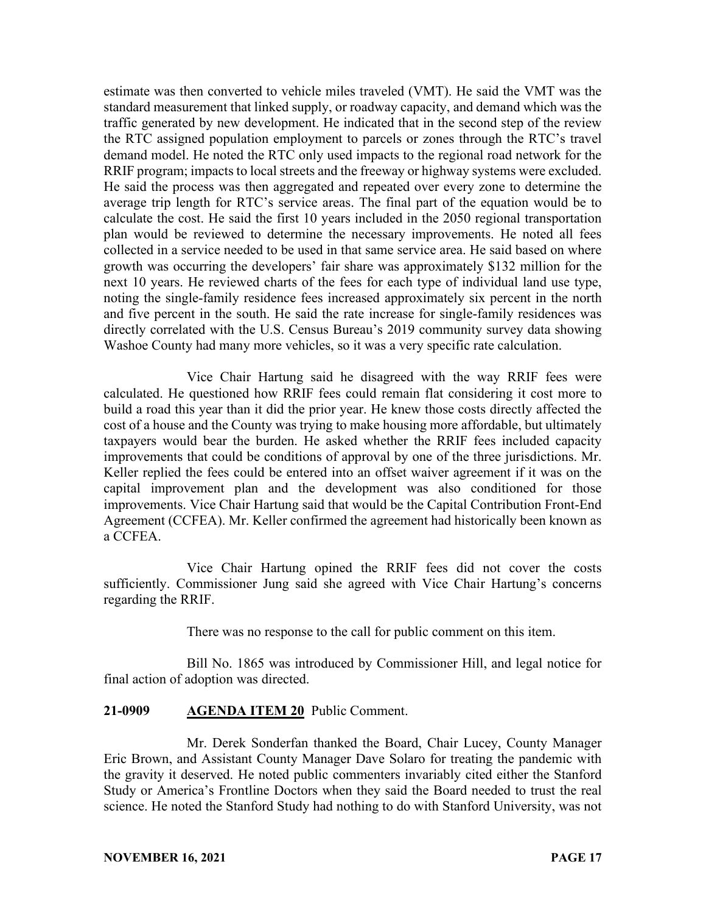estimate was then converted to vehicle miles traveled (VMT). He said the VMT was the standard measurement that linked supply, or roadway capacity, and demand which was the traffic generated by new development. He indicated that in the second step of the review the RTC assigned population employment to parcels or zones through the RTC's travel demand model. He noted the RTC only used impacts to the regional road network for the RRIF program; impacts to local streets and the freeway or highway systems were excluded. He said the process was then aggregated and repeated over every zone to determine the average trip length for RTC's service areas. The final part of the equation would be to calculate the cost. He said the first 10 years included in the 2050 regional transportation plan would be reviewed to determine the necessary improvements. He noted all fees collected in a service needed to be used in that same service area. He said based on where growth was occurring the developers' fair share was approximately \$132 million for the next 10 years. He reviewed charts of the fees for each type of individual land use type, noting the single-family residence fees increased approximately six percent in the north and five percent in the south. He said the rate increase for single-family residences was directly correlated with the U.S. Census Bureau's 2019 community survey data showing Washoe County had many more vehicles, so it was a very specific rate calculation.

Vice Chair Hartung said he disagreed with the way RRIF fees were calculated. He questioned how RRIF fees could remain flat considering it cost more to build a road this year than it did the prior year. He knew those costs directly affected the cost of a house and the County was trying to make housing more affordable, but ultimately taxpayers would bear the burden. He asked whether the RRIF fees included capacity improvements that could be conditions of approval by one of the three jurisdictions. Mr. Keller replied the fees could be entered into an offset waiver agreement if it was on the capital improvement plan and the development was also conditioned for those improvements. Vice Chair Hartung said that would be the Capital Contribution Front-End Agreement (CCFEA). Mr. Keller confirmed the agreement had historically been known as a CCFEA.

Vice Chair Hartung opined the RRIF fees did not cover the costs sufficiently. Commissioner Jung said she agreed with Vice Chair Hartung's concerns regarding the RRIF.

There was no response to the call for public comment on this item.

Bill No. 1865 was introduced by Commissioner Hill, and legal notice for final action of adoption was directed.

## **21-0909 AGENDA ITEM 20** Public Comment.

Mr. Derek Sonderfan thanked the Board, Chair Lucey, County Manager Eric Brown, and Assistant County Manager Dave Solaro for treating the pandemic with the gravity it deserved. He noted public commenters invariably cited either the Stanford Study or America's Frontline Doctors when they said the Board needed to trust the real science. He noted the Stanford Study had nothing to do with Stanford University, was not